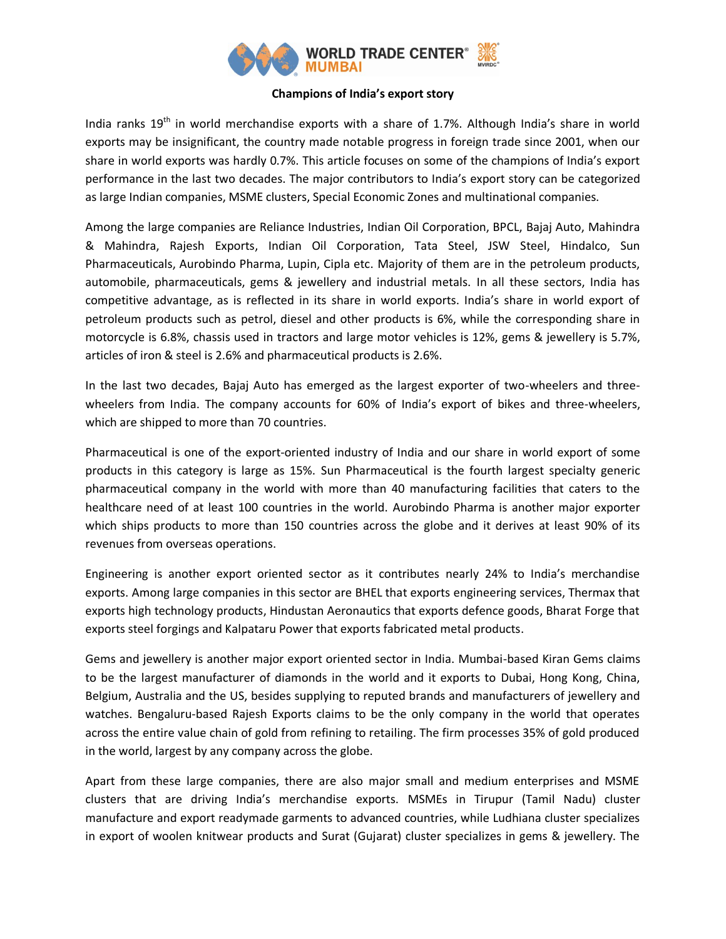

## **Champions of India's export story**

India ranks  $19<sup>th</sup>$  in world merchandise exports with a share of 1.7%. Although India's share in world exports may be insignificant, the country made notable progress in foreign trade since 2001, when our share in world exports was hardly 0.7%. This article focuses on some of the champions of India's export performance in the last two decades. The major contributors to India's export story can be categorized as large Indian companies, MSME clusters, Special Economic Zones and multinational companies.

Among the large companies are Reliance Industries, Indian Oil Corporation, BPCL, Bajaj Auto, Mahindra & Mahindra, Rajesh Exports, Indian Oil Corporation, Tata Steel, JSW Steel, Hindalco, Sun Pharmaceuticals, Aurobindo Pharma, Lupin, Cipla etc. Majority of them are in the petroleum products, automobile, pharmaceuticals, gems & jewellery and industrial metals. In all these sectors, India has competitive advantage, as is reflected in its share in world exports. India's share in world export of petroleum products such as petrol, diesel and other products is 6%, while the corresponding share in motorcycle is 6.8%, chassis used in tractors and large motor vehicles is 12%, gems & jewellery is 5.7%, articles of iron & steel is 2.6% and pharmaceutical products is 2.6%.

In the last two decades, Bajaj Auto has emerged as the largest exporter of two-wheelers and threewheelers from India. The company accounts for 60% of India's export of bikes and three-wheelers, which are shipped to more than 70 countries.

Pharmaceutical is one of the export-oriented industry of India and our share in world export of some products in this category is large as 15%. Sun Pharmaceutical is the fourth largest specialty generic pharmaceutical company in the world with more than 40 manufacturing facilities that caters to the healthcare need of at least 100 countries in the world. Aurobindo Pharma is another major exporter which ships products to more than 150 countries across the globe and it derives at least 90% of its revenues from overseas operations.

Engineering is another export oriented sector as it contributes nearly 24% to India's merchandise exports. Among large companies in this sector are BHEL that exports engineering services, Thermax that exports high technology products, Hindustan Aeronautics that exports defence goods, Bharat Forge that exports steel forgings and Kalpataru Power that exports fabricated metal products.

Gems and jewellery is another major export oriented sector in India. Mumbai-based Kiran Gems claims to be the largest manufacturer of diamonds in the world and it exports to Dubai, Hong Kong, China, Belgium, Australia and the US, besides supplying to reputed brands and manufacturers of jewellery and watches. Bengaluru-based Rajesh Exports claims to be the only company in the world that operates across the entire value chain of gold from refining to retailing. The firm processes 35% of gold produced in the world, largest by any company across the globe.

Apart from these large companies, there are also major small and medium enterprises and MSME clusters that are driving India's merchandise exports. MSMEs in Tirupur (Tamil Nadu) cluster manufacture and export readymade garments to advanced countries, while Ludhiana cluster specializes in export of woolen knitwear products and Surat (Gujarat) cluster specializes in gems & jewellery. The